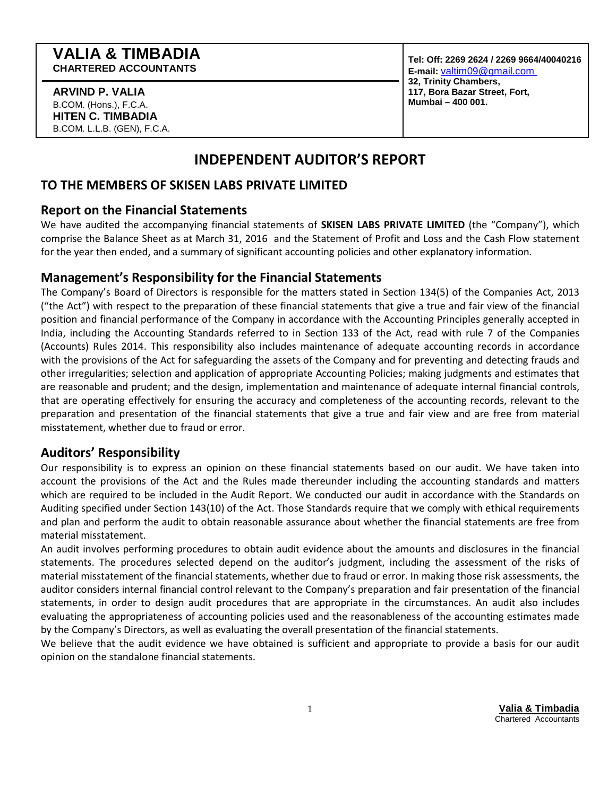#### **ARVIND P. VALIA**  B.COM. (Hons.), F.C.A. **HITEN C. TIMBADIA**  B.COM. L.L.B. (GEN), F.C.A.

**Tel: Off: 2269 2624 / 2269 9664/40040216 E-mail:** valtim09@gmail.com **32, Trinity Chambers, 117, Bora Bazar Street, Fort, Mumbai – 400 001.** 

# **INDEPENDENT AUDITOR'S REPORT**

# **TO THE MEMBERS OF SKISEN LABS PRIVATE LIMITED**

### **Report on the Financial Statements**

We have audited the accompanying financial statements of **SKISEN LABS PRIVATE LIMITED** (the "Company"), which comprise the Balance Sheet as at March 31, 2016 and the Statement of Profit and Loss and the Cash Flow statement for the year then ended, and a summary of significant accounting policies and other explanatory information.

# **Management's Responsibility for the Financial Statements**

The Company's Board of Directors is responsible for the matters stated in Section 134(5) of the Companies Act, 2013 ("the Act") with respect to the preparation of these financial statements that give a true and fair view of the financial position and financial performance of the Company in accordance with the Accounting Principles generally accepted in India, including the Accounting Standards referred to in Section 133 of the Act, read with rule 7 of the Companies (Accounts) Rules 2014. This responsibility also includes maintenance of adequate accounting records in accordance with the provisions of the Act for safeguarding the assets of the Company and for preventing and detecting frauds and other irregularities; selection and application of appropriate Accounting Policies; making judgments and estimates that are reasonable and prudent; and the design, implementation and maintenance of adequate internal financial controls, that are operating effectively for ensuring the accuracy and completeness of the accounting records, relevant to the preparation and presentation of the financial statements that give a true and fair view and are free from material misstatement, whether due to fraud or error.

# **Auditors' Responsibility**

Our responsibility is to express an opinion on these financial statements based on our audit. We have taken into account the provisions of the Act and the Rules made thereunder including the accounting standards and matters which are required to be included in the Audit Report. We conducted our audit in accordance with the Standards on Auditing specified under Section 143(10) of the Act. Those Standards require that we comply with ethical requirements and plan and perform the audit to obtain reasonable assurance about whether the financial statements are free from material misstatement.

An audit involves performing procedures to obtain audit evidence about the amounts and disclosures in the financial statements. The procedures selected depend on the auditor's judgment, including the assessment of the risks of material misstatement of the financial statements, whether due to fraud or error. In making those risk assessments, the auditor considers internal financial control relevant to the Company's preparation and fair presentation of the financial statements, in order to design audit procedures that are appropriate in the circumstances. An audit also includes evaluating the appropriateness of accounting policies used and the reasonableness of the accounting estimates made by the Company's Directors, as well as evaluating the overall presentation of the financial statements.

We believe that the audit evidence we have obtained is sufficient and appropriate to provide a basis for our audit opinion on the standalone financial statements.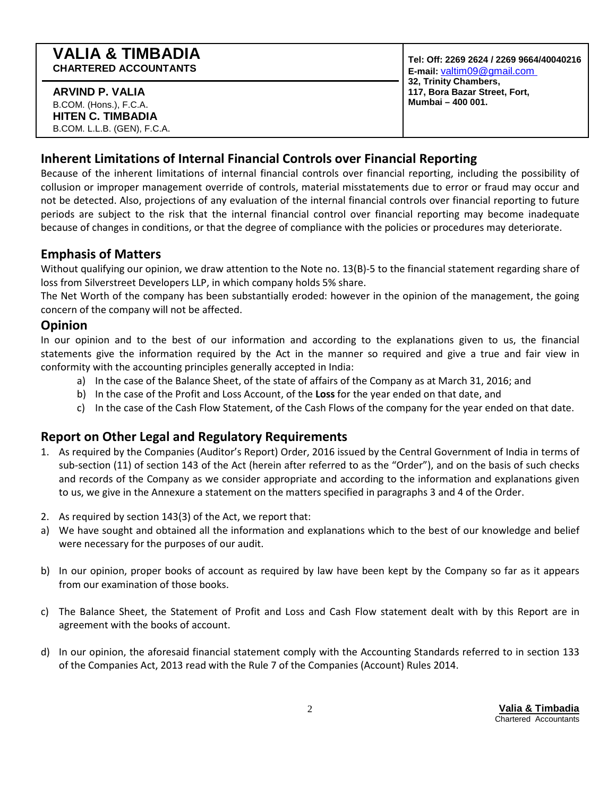#### **ARVIND P. VALIA**  B.COM. (Hons.), F.C.A. **HITEN C. TIMBADIA**  B.COM. L.L.B. (GEN), F.C.A.

**Tel: Off: 2269 2624 / 2269 9664/40040216 E-mail:** valtim09@gmail.com **32, Trinity Chambers, 117, Bora Bazar Street, Fort, Mumbai – 400 001.** 

# **Inherent Limitations of Internal Financial Controls over Financial Reporting**

Because of the inherent limitations of internal financial controls over financial reporting, including the possibility of collusion or improper management override of controls, material misstatements due to error or fraud may occur and not be detected. Also, projections of any evaluation of the internal financial controls over financial reporting to future periods are subject to the risk that the internal financial control over financial reporting may become inadequate because of changes in conditions, or that the degree of compliance with the policies or procedures may deteriorate.

# **Emphasis of Matters**

Without qualifying our opinion, we draw attention to the Note no. 13(B)-5 to the financial statement regarding share of loss from Silverstreet Developers LLP, in which company holds 5% share.

The Net Worth of the company has been substantially eroded: however in the opinion of the management, the going concern of the company will not be affected.

# **Opinion**

In our opinion and to the best of our information and according to the explanations given to us, the financial statements give the information required by the Act in the manner so required and give a true and fair view in conformity with the accounting principles generally accepted in India:

- a) In the case of the Balance Sheet, of the state of affairs of the Company as at March 31, 2016; and
- b) In the case of the Profit and Loss Account, of the **Loss** for the year ended on that date, and
- c) In the case of the Cash Flow Statement, of the Cash Flows of the company for the year ended on that date.

# **Report on Other Legal and Regulatory Requirements**

- 1. As required by the Companies (Auditor's Report) Order, 2016 issued by the Central Government of India in terms of sub-section (11) of section 143 of the Act (herein after referred to as the "Order"), and on the basis of such checks and records of the Company as we consider appropriate and according to the information and explanations given to us, we give in the Annexure a statement on the matters specified in paragraphs 3 and 4 of the Order.
- 2. As required by section 143(3) of the Act, we report that:
- a) We have sought and obtained all the information and explanations which to the best of our knowledge and belief were necessary for the purposes of our audit.
- b) In our opinion, proper books of account as required by law have been kept by the Company so far as it appears from our examination of those books.
- c) The Balance Sheet, the Statement of Profit and Loss and Cash Flow statement dealt with by this Report are in agreement with the books of account.
- d) In our opinion, the aforesaid financial statement comply with the Accounting Standards referred to in section 133 of the Companies Act, 2013 read with the Rule 7 of the Companies (Account) Rules 2014.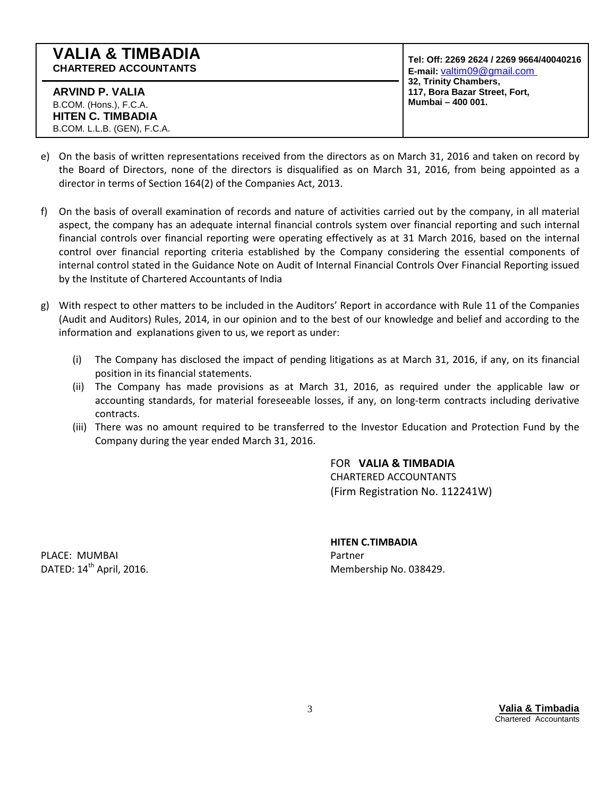| <b>VALIA &amp; TIMBADIA</b><br><b>CHARTERED ACCOUNTANTS</b> | Tel: Off: 2269 2624 / 2269 9664/40040216<br>E-mail: valtim09@gmail.com      |
|-------------------------------------------------------------|-----------------------------------------------------------------------------|
| ARVIND P. VALIA<br>B.COM. (Hons.), F.C.A.                   | 32, Trinity Chambers,<br>117, Bora Bazar Street, Fort,<br>Mumbai - 400 001. |
| <b>HITEN C. TIMBADIA</b>                                    |                                                                             |
| B.COM. L.L.B. (GEN), F.C.A.                                 |                                                                             |

- e) On the basis of written representations received from the directors as on March 31, 2016 and taken on record by the Board of Directors, none of the directors is disqualified as on March 31, 2016, from being appointed as a director in terms of Section 164(2) of the Companies Act, 2013.
- f) On the basis of overall examination of records and nature of activities carried out by the company, in all material aspect, the company has an adequate internal financial controls system over financial reporting and such internal financial controls over financial reporting were operating effectively as at 31 March 2016, based on the internal control over financial reporting criteria established by the Company considering the essential components of internal control stated in the Guidance Note on Audit of Internal Financial Controls Over Financial Reporting issued by the Institute of Chartered Accountants of India
- g) With respect to other matters to be included in the Auditors' Report in accordance with Rule 11 of the Companies (Audit and Auditors) Rules, 2014, in our opinion and to the best of our knowledge and belief and according to the information and explanations given to us, we report as under:
	- (i) The Company has disclosed the impact of pending litigations as at March 31, 2016, if any, on its financial position in its financial statements.
	- (ii) The Company has made provisions as at March 31, 2016, as required under the applicable law or accounting standards, for material foreseeable losses, if any, on long-term contracts including derivative contracts.
	- (iii) There was no amount required to be transferred to the Investor Education and Protection Fund by the Company during the year ended March 31, 2016.

FOR **VALIA & TIMBADIA** CHARTERED ACCOUNTANTS (Firm Registration No. 112241W)

PLACE: MUMBAI **PLACE:** MUMBAI

# **HITEN C.TIMBADIA**

DATED: 14<sup>th</sup> April, 2016. Membership No. 038429.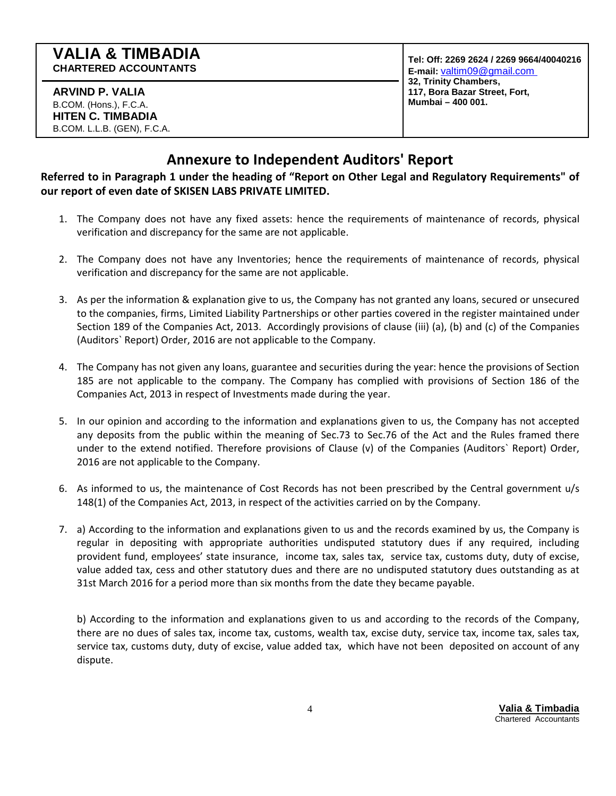**ARVIND P. VALIA**  B.COM. (Hons.), F.C.A. **HITEN C. TIMBADIA**  B.COM. L.L.B. (GEN), F.C.A. **Tel: Off: 2269 2624 / 2269 9664/40040216 E-mail:** valtim09@gmail.com **32, Trinity Chambers, 117, Bora Bazar Street, Fort, Mumbai – 400 001.** 

# **Annexure to Independent Auditors' Report**

**Referred to in Paragraph 1 under the heading of "Report on Other Legal and Regulatory Requirements" of our report of even date of SKISEN LABS PRIVATE LIMITED.** 

- 1. The Company does not have any fixed assets: hence the requirements of maintenance of records, physical verification and discrepancy for the same are not applicable.
- 2. The Company does not have any Inventories; hence the requirements of maintenance of records, physical verification and discrepancy for the same are not applicable.
- 3. As per the information & explanation give to us, the Company has not granted any loans, secured or unsecured to the companies, firms, Limited Liability Partnerships or other parties covered in the register maintained under Section 189 of the Companies Act, 2013. Accordingly provisions of clause (iii) (a), (b) and (c) of the Companies (Auditors` Report) Order, 2016 are not applicable to the Company.
- 4. The Company has not given any loans, guarantee and securities during the year: hence the provisions of Section 185 are not applicable to the company. The Company has complied with provisions of Section 186 of the Companies Act, 2013 in respect of Investments made during the year.
- 5. In our opinion and according to the information and explanations given to us, the Company has not accepted any deposits from the public within the meaning of Sec.73 to Sec.76 of the Act and the Rules framed there under to the extend notified. Therefore provisions of Clause (v) of the Companies (Auditors` Report) Order, 2016 are not applicable to the Company.
- 6. As informed to us, the maintenance of Cost Records has not been prescribed by the Central government u/s 148(1) of the Companies Act, 2013, in respect of the activities carried on by the Company.
- 7. a) According to the information and explanations given to us and the records examined by us, the Company is regular in depositing with appropriate authorities undisputed statutory dues if any required, including provident fund, employees' state insurance, income tax, sales tax, service tax, customs duty, duty of excise, value added tax, cess and other statutory dues and there are no undisputed statutory dues outstanding as at 31st March 2016 for a period more than six months from the date they became payable.

b) According to the information and explanations given to us and according to the records of the Company, there are no dues of sales tax, income tax, customs, wealth tax, excise duty, service tax, income tax, sales tax, service tax, customs duty, duty of excise, value added tax, which have not been deposited on account of any dispute.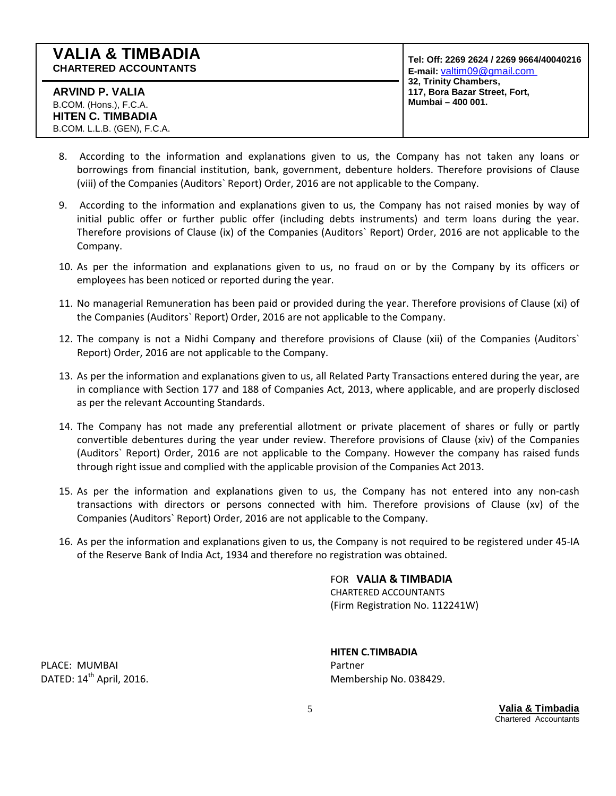**Tel: Off: 2269 2624 / 2269 9664/40040216 E-mail:** valtim09@gmail.com **32, Trinity Chambers, 117, Bora Bazar Street, Fort, Mumbai – 400 001.** 

- 8. According to the information and explanations given to us, the Company has not taken any loans or borrowings from financial institution, bank, government, debenture holders. Therefore provisions of Clause (viii) of the Companies (Auditors` Report) Order, 2016 are not applicable to the Company.
- 9. According to the information and explanations given to us, the Company has not raised monies by way of initial public offer or further public offer (including debts instruments) and term loans during the year. Therefore provisions of Clause (ix) of the Companies (Auditors` Report) Order, 2016 are not applicable to the Company.
- 10. As per the information and explanations given to us, no fraud on or by the Company by its officers or employees has been noticed or reported during the year.
- 11. No managerial Remuneration has been paid or provided during the year. Therefore provisions of Clause (xi) of the Companies (Auditors` Report) Order, 2016 are not applicable to the Company.
- 12. The company is not a Nidhi Company and therefore provisions of Clause (xii) of the Companies (Auditors` Report) Order, 2016 are not applicable to the Company.
- 13. As per the information and explanations given to us, all Related Party Transactions entered during the year, are in compliance with Section 177 and 188 of Companies Act, 2013, where applicable, and are properly disclosed as per the relevant Accounting Standards.
- 14. The Company has not made any preferential allotment or private placement of shares or fully or partly convertible debentures during the year under review. Therefore provisions of Clause (xiv) of the Companies (Auditors` Report) Order, 2016 are not applicable to the Company. However the company has raised funds through right issue and complied with the applicable provision of the Companies Act 2013.
- 15. As per the information and explanations given to us, the Company has not entered into any non-cash transactions with directors or persons connected with him. Therefore provisions of Clause (xv) of the Companies (Auditors` Report) Order, 2016 are not applicable to the Company.
- 16. As per the information and explanations given to us, the Company is not required to be registered under 45-IA of the Reserve Bank of India Act, 1934 and therefore no registration was obtained.

FOR **VALIA & TIMBADIA** CHARTERED ACCOUNTANTS

(Firm Registration No. 112241W)

PLACE: MUMBAI **PLACE:** MUMBAI

**HITEN C.TIMBADIA**  DATED:  $14^{\text{th}}$  April, 2016. Membership No. 038429.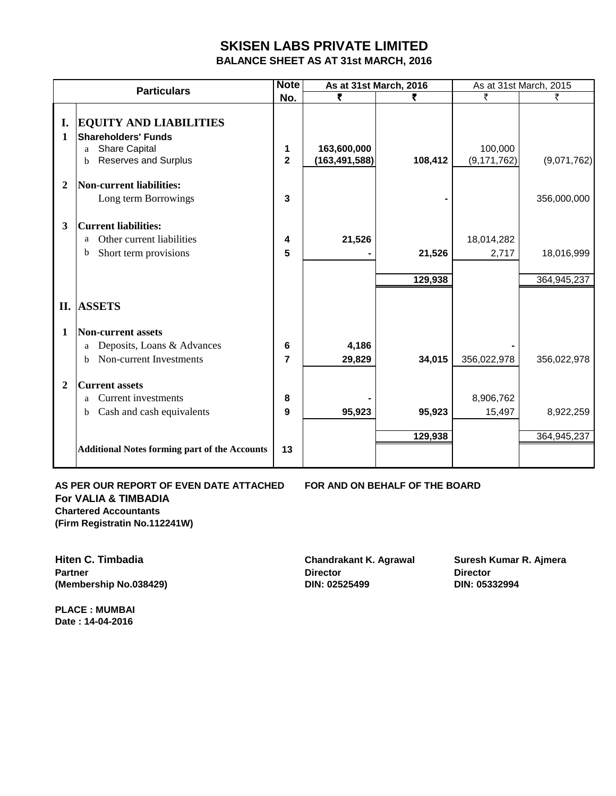# **SKISEN LABS PRIVATE LIMITED**

**BALANCE SHEET AS AT 31st MARCH, 2016**

|                | <b>Particulars</b>                                                                                                           | <b>Note</b>                  |                                | As at 31st March, 2016 |                          | As at 31st March, 2015    |
|----------------|------------------------------------------------------------------------------------------------------------------------------|------------------------------|--------------------------------|------------------------|--------------------------|---------------------------|
|                |                                                                                                                              | No.                          | ₹                              |                        | ₹                        | ₹                         |
| I.<br>1        | <b>EQUITY AND LIABILITIES</b><br><b>Shareholders' Funds</b><br><b>Share Capital</b><br>a<br><b>Reserves and Surplus</b><br>b | 1<br>$\overline{\mathbf{2}}$ | 163,600,000<br>(163, 491, 588) | 108,412                | 100,000<br>(9, 171, 762) | (9,071,762)               |
| $\overline{2}$ | <b>Non-current liabilities:</b><br>Long term Borrowings                                                                      | 3                            |                                |                        |                          | 356,000,000               |
| 3              | <b>Current liabilities:</b><br>Other current liabilities<br>a<br>b<br>Short term provisions                                  | 4<br>5                       | 21,526                         | 21,526<br>129,938      | 18,014,282<br>2,717      | 18,016,999<br>364,945,237 |
|                | <b>II. ASSETS</b>                                                                                                            |                              |                                |                        |                          |                           |
| 1              | <b>Non-current assets</b>                                                                                                    |                              |                                |                        |                          |                           |
|                | Deposits, Loans & Advances<br>a<br>Non-current Investments<br>h                                                              | 6<br>$\overline{7}$          | 4,186<br>29,829                | 34,015                 | 356,022,978              | 356,022,978               |
| $\mathbf{2}$   | <b>Current assets</b><br><b>Current investments</b><br>a<br>Cash and cash equivalents<br>b                                   | 8<br>9                       | 95,923                         | 95,923                 | 8,906,762<br>15,497      | 8,922,259                 |
|                | <b>Additional Notes forming part of the Accounts</b>                                                                         | 13                           |                                | 129,938                |                          | 364,945,237               |

**For VALIA & TIMBADIA Chartered Accountants (Firm Registratin No.112241W)**

**AS PER OUR REPORT OF EVEN DATE ATTACHED FOR AND ON BEHALF OF THE BOARD** 

**Partner Director Director (Membership No.038429) DIN: 02525499 DIN: 05332994**

**Hiten C. Timbadia Chandrakant K. Agrawal Suresh Kumar R. Ajmera** 

**PLACE : MUMBAI Date : 14-04-2016**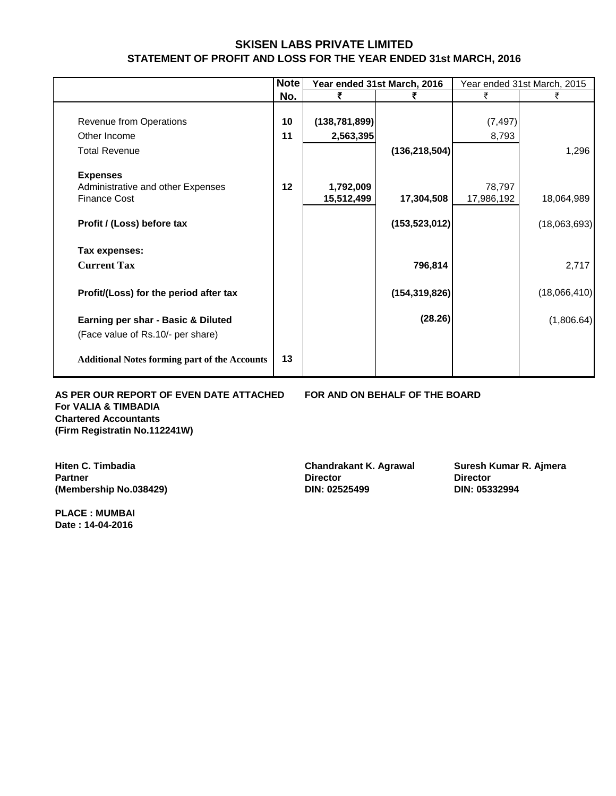# **SKISEN LABS PRIVATE LIMITED STATEMENT OF PROFIT AND LOSS FOR THE YEAR ENDED 31st MARCH, 2016**

|                                                      | <b>Note</b> |                 | Year ended 31st March, 2016 |            | Year ended 31st March, 2015 |
|------------------------------------------------------|-------------|-----------------|-----------------------------|------------|-----------------------------|
|                                                      | No.         |                 |                             |            |                             |
|                                                      |             |                 |                             |            |                             |
| Revenue from Operations                              | 10          | (138, 781, 899) |                             | (7, 497)   |                             |
| Other Income                                         | 11          | 2,563,395       |                             | 8,793      |                             |
| <b>Total Revenue</b>                                 |             |                 | (136, 218, 504)             |            | 1,296                       |
| <b>Expenses</b>                                      |             |                 |                             |            |                             |
| Administrative and other Expenses                    | 12          | 1,792,009       |                             | 78,797     |                             |
| <b>Finance Cost</b>                                  |             | 15,512,499      | 17,304,508                  | 17,986,192 | 18,064,989                  |
| Profit / (Loss) before tax                           |             |                 | (153, 523, 012)             |            | (18,063,693)                |
| Tax expenses:                                        |             |                 |                             |            |                             |
| <b>Current Tax</b>                                   |             |                 | 796,814                     |            | 2,717                       |
| Profit/(Loss) for the period after tax               |             |                 | (154, 319, 826)             |            | (18,066,410)                |
| Earning per shar - Basic & Diluted                   |             |                 | (28.26)                     |            | (1,806.64)                  |
| (Face value of Rs.10/- per share)                    |             |                 |                             |            |                             |
| <b>Additional Notes forming part of the Accounts</b> | 13          |                 |                             |            |                             |

**AS PER OUR REPORT OF EVEN DATE ATTACHED FOR AND ON BEHALF OF THE BOARD For VALIA & TIMBADIA Chartered Accountants (Firm Registratin No.112241W)**

**Partner Director Director (Membership No.038429) DIN: 02525499 DIN: 05332994** 

**PLACE : MUMBAI Date : 14-04-2016**

**Hiten C. Timbadia Chandrakant K. Agrawal Suresh Kumar R. Ajmera**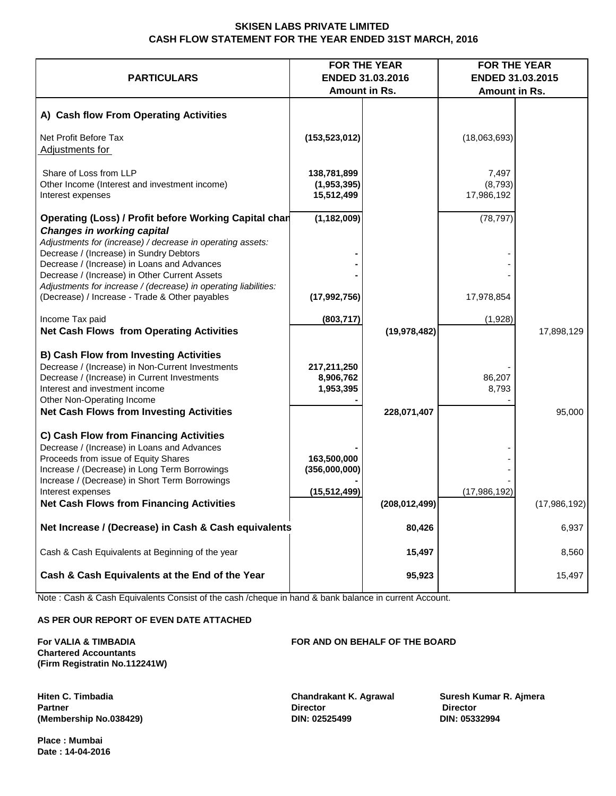#### **SKISEN LABS PRIVATE LIMITED CASH FLOW STATEMENT FOR THE YEAR ENDED 31ST MARCH, 2016**

|                                                                                                                                                                                                                                                                                                          |                                                | <b>FOR THE YEAR</b> |                                | <b>FOR THE YEAR</b> |
|----------------------------------------------------------------------------------------------------------------------------------------------------------------------------------------------------------------------------------------------------------------------------------------------------------|------------------------------------------------|---------------------|--------------------------------|---------------------|
| <b>PARTICULARS</b>                                                                                                                                                                                                                                                                                       |                                                | ENDED 31.03.2016    |                                | ENDED 31.03.2015    |
|                                                                                                                                                                                                                                                                                                          |                                                | Amount in Rs.       | Amount in Rs.                  |                     |
| A) Cash flow From Operating Activities                                                                                                                                                                                                                                                                   |                                                |                     |                                |                     |
| Net Profit Before Tax<br>Adjustments for                                                                                                                                                                                                                                                                 | (153, 523, 012)                                |                     | (18,063,693)                   |                     |
| Share of Loss from LLP<br>Other Income (Interest and investment income)<br>Interest expenses                                                                                                                                                                                                             | 138,781,899<br>(1,953,395)<br>15,512,499       |                     | 7,497<br>(8,793)<br>17,986,192 |                     |
| Operating (Loss) / Profit before Working Capital char<br><b>Changes in working capital</b><br>Adjustments for (increase) / decrease in operating assets:<br>Decrease / (Increase) in Sundry Debtors<br>Decrease / (Increase) in Loans and Advances<br>Decrease / (Increase) in Other Current Assets      | (1, 182, 009)                                  |                     | (78, 797)                      |                     |
| Adjustments for increase / (decrease) in operating liabilities:<br>(Decrease) / Increase - Trade & Other payables                                                                                                                                                                                        | (17, 992, 756)                                 |                     | 17,978,854                     |                     |
| Income Tax paid<br><b>Net Cash Flows from Operating Activities</b>                                                                                                                                                                                                                                       | (803, 717)                                     | (19, 978, 482)      | (1,928)                        | 17,898,129          |
| <b>B) Cash Flow from Investing Activities</b><br>Decrease / (Increase) in Non-Current Investments<br>Decrease / (Increase) in Current Investments<br>Interest and investment income<br>Other Non-Operating Income<br><b>Net Cash Flows from Investing Activities</b>                                     | 217,211,250<br>8,906,762<br>1,953,395          | 228,071,407         | 86,207<br>8,793                | 95,000              |
| C) Cash Flow from Financing Activities<br>Decrease / (Increase) in Loans and Advances<br>Proceeds from issue of Equity Shares<br>Increase / (Decrease) in Long Term Borrowings<br>Increase / (Decrease) in Short Term Borrowings<br>Interest expenses<br><b>Net Cash Flows from Financing Activities</b> | 163,500,000<br>(356,000,000)<br>(15, 512, 499) | (208, 012, 499)     | (17,986,192)                   | (17,986,192)        |
| Net Increase / (Decrease) in Cash & Cash equivalents                                                                                                                                                                                                                                                     |                                                | 80,426              |                                | 6,937               |
| Cash & Cash Equivalents at Beginning of the year                                                                                                                                                                                                                                                         |                                                | 15,497              |                                | 8,560               |
| Cash & Cash Equivalents at the End of the Year                                                                                                                                                                                                                                                           |                                                | 95,923              |                                | 15,497              |

Note : Cash & Cash Equivalents Consist of the cash /cheque in hand & bank balance in current Account.

#### **AS PER OUR REPORT OF EVEN DATE ATTACHED**

**For VALIA & TIMBADIA FOR AND ON BEHALF OF THE BOARD Chartered Accountants (Firm Registratin No.112241W)**

**(Membership No.038429) DIN: 02525499 DIN: 05332994**

**Hiten C. Timbadia Chandrakant K. Agrawal Suresh Kumar R. Ajmera Partner Director Director**

**Place : Mumbai Date : 14-04-2016**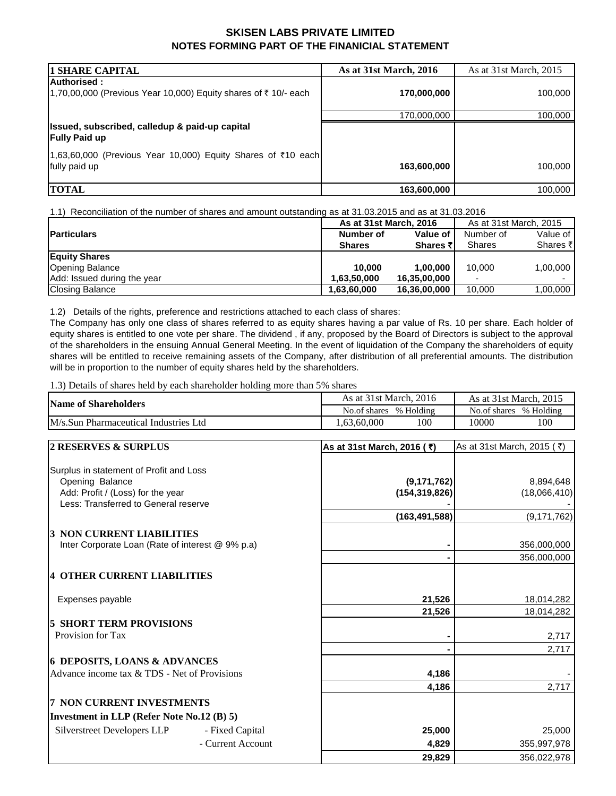#### **SKISEN LABS PRIVATE LIMITED NOTES FORMING PART OF THE FINANICIAL STATEMENT**

| <b>1 SHARE CAPITAL</b>                                                        | As at 31st March, 2016 | As at 31st March, 2015 |
|-------------------------------------------------------------------------------|------------------------|------------------------|
| Authorised:<br>1,70,00,000 (Previous Year 10,000) Equity shares of ₹10/- each | 170,000,000            | 100,000                |
|                                                                               | 170,000,000            | 100,000                |
| Issued, subscribed, calledup & paid-up capital<br><b>Fully Paid up</b>        |                        |                        |
| 1,63,60,000 (Previous Year 10,000) Equity Shares of ₹10 each<br>fully paid up | 163,600,000            | 100,000                |
| <b>TOTAL</b>                                                                  | 163,600,000            | 100,000                |

1.1) Reconciliation of the number of shares and amount outstanding as at 31.03.2015 and as at 31.03.2016

|                             | As at 31st March, 2016 |                 | As at 31st March, 2015 |          |
|-----------------------------|------------------------|-----------------|------------------------|----------|
| <b>Particulars</b>          | Number of              | Value of        | Number of              | Value of |
|                             | <b>Shares</b>          | <b>Shares ₹</b> | Shares                 | Shares ₹ |
| <b>Equity Shares</b>        |                        |                 |                        |          |
| <b>Opening Balance</b>      | 10.000                 | 1.00.000        | 10.000                 | 1,00,000 |
| Add: Issued during the year | 1.63.50.000            | 16,35,00,000    |                        |          |
| <b>Closing Balance</b>      | 1,63,60,000            | 16,36,00,000    | 10.000                 | 1,00,000 |

1.2) Details of the rights, preference and restrictions attached to each class of shares:

The Company has only one class of shares referred to as equity shares having a par value of Rs. 10 per share. Each holder of equity shares is entitled to one vote per share. The dividend , if any, proposed by the Board of Directors is subject to the approval of the shareholders in the ensuing Annual General Meeting. In the event of liquidation of the Company the shareholders of equity shares will be entitled to receive remaining assets of the Company, after distribution of all preferential amounts. The distribution will be in proportion to the number of equity shares held by the shareholders.

1.3) Details of shares held by each shareholder holding more than 5% shares

| <b>Name of Shareholders</b>           | As at 31st March, 2016    | As at 31st March, 2015    |  |
|---------------------------------------|---------------------------|---------------------------|--|
|                                       | % Holding<br>No.of shares | % Holding<br>No.of shares |  |
| M/s.Sun Pharmaceutical Industries Ltd | .00<br>.63.60.000         | 100<br>10000              |  |

| 2 RESERVES & SURPLUS                             | As at 31st March, 2016 (₹) | As at 31st March, 2015 (₹) |
|--------------------------------------------------|----------------------------|----------------------------|
|                                                  |                            |                            |
| Surplus in statement of Profit and Loss          |                            |                            |
| Opening Balance                                  | (9, 171, 762)              | 8,894,648                  |
| Add: Profit / (Loss) for the year                | (154, 319, 826)            | (18,066,410)               |
| Less: Transferred to General reserve             |                            |                            |
|                                                  | (163, 491, 588)            | (9, 171, 762)              |
| <b>3 NON CURRENT LIABILITIES</b>                 |                            |                            |
| Inter Corporate Loan (Rate of interest @ 9% p.a) |                            | 356,000,000                |
|                                                  |                            | 356,000,000                |
| <b>4 OTHER CURRENT LIABILITIES</b>               |                            |                            |
| Expenses payable                                 | 21,526                     | 18,014,282                 |
|                                                  | 21,526                     | 18,014,282                 |
| <b>5 SHORT TERM PROVISIONS</b>                   |                            |                            |
| Provision for Tax                                |                            | 2,717                      |
|                                                  |                            | 2,717                      |
| <b>6 DEPOSITS, LOANS &amp; ADVANCES</b>          |                            |                            |
| Advance income tax & TDS - Net of Provisions     | 4,186                      |                            |
|                                                  | 4,186                      | 2,717                      |
| <b>7 NON CURRENT INVESTMENTS</b>                 |                            |                            |
| Investment in LLP (Refer Note No.12 (B) 5)       |                            |                            |
| Silverstreet Developers LLP<br>- Fixed Capital   | 25,000                     | 25,000                     |
| - Current Account                                | 4,829                      | 355,997,978                |
|                                                  | 29.829                     | 356,022,978                |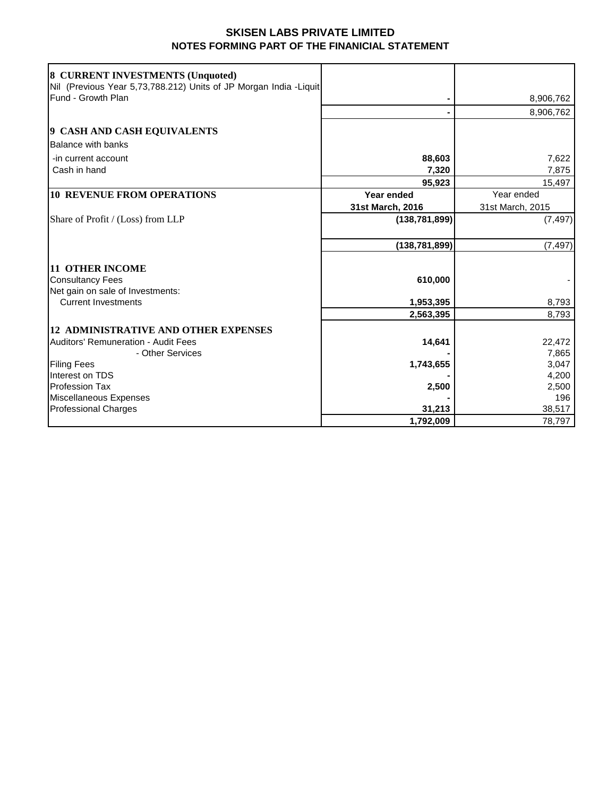## **SKISEN LABS PRIVATE LIMITED NOTES FORMING PART OF THE FINANICIAL STATEMENT**

| 8 CURRENT INVESTMENTS (Unquoted)<br>Nil (Previous Year 5,73,788.212) Units of JP Morgan India -Liquit |                  |                  |
|-------------------------------------------------------------------------------------------------------|------------------|------------------|
| Fund - Growth Plan                                                                                    |                  | 8,906,762        |
|                                                                                                       |                  | 8,906,762        |
| 9 CASH AND CASH EQUIVALENTS                                                                           |                  |                  |
| <b>Balance with banks</b>                                                                             |                  |                  |
| -in current account                                                                                   | 88,603           | 7,622            |
| Cash in hand                                                                                          | 7,320            | 7,875            |
|                                                                                                       | 95,923           | 15,497           |
| <b>10 REVENUE FROM OPERATIONS</b>                                                                     | Year ended       | Year ended       |
|                                                                                                       | 31st March, 2016 | 31st March, 2015 |
| Share of Profit / (Loss) from LLP                                                                     | (138, 781, 899)  | (7, 497)         |
|                                                                                                       |                  |                  |
|                                                                                                       | (138, 781, 899)  | (7, 497)         |
|                                                                                                       |                  |                  |
| <b>11 OTHER INCOME</b>                                                                                |                  |                  |
| <b>Consultancy Fees</b>                                                                               | 610,000          |                  |
| Net gain on sale of Investments:                                                                      |                  |                  |
| <b>Current Investments</b>                                                                            | 1,953,395        | 8,793            |
|                                                                                                       | 2,563,395        | 8,793            |
| <b>12 ADMINISTRATIVE AND OTHER EXPENSES</b>                                                           |                  |                  |
| Auditors' Remuneration - Audit Fees                                                                   | 14,641           | 22,472           |
| - Other Services                                                                                      |                  | 7,865            |
| <b>Filing Fees</b>                                                                                    | 1,743,655        | 3,047            |
| Interest on TDS                                                                                       |                  | 4,200            |
| Profession Tax                                                                                        | 2,500            | 2,500            |
| Miscellaneous Expenses                                                                                |                  | 196              |
| <b>Professional Charges</b>                                                                           | 31,213           | 38,517           |
|                                                                                                       | 1,792,009        | 78,797           |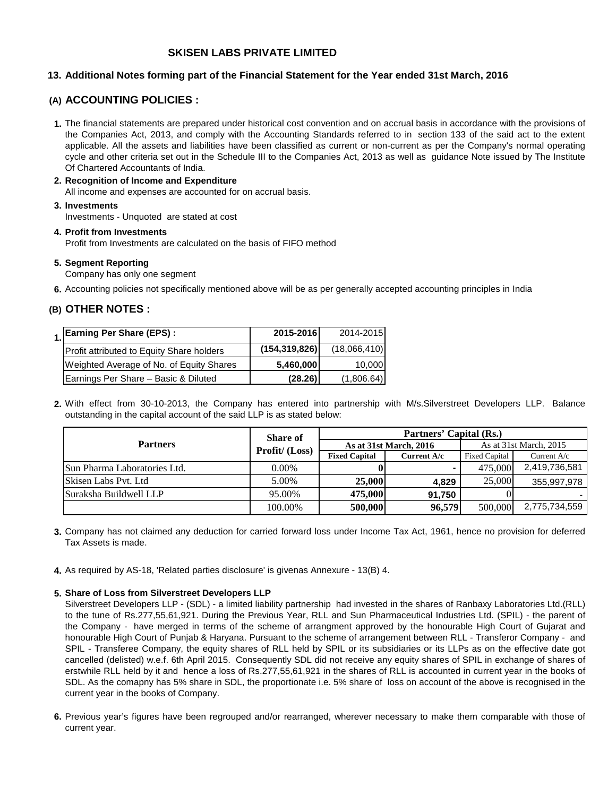#### **SKISEN LABS PRIVATE LIMITED**

#### **13. Additional Notes forming part of the Financial Statement for the Year ended 31st March, 2016**

#### **(A) ACCOUNTING POLICIES :**

- **1.** The financial statements are prepared under historical cost convention and on accrual basis in accordance with the provisions of the Companies Act, 2013, and comply with the Accounting Standards referred to in section 133 of the said act to the extent applicable. All the assets and liabilities have been classified as current or non-current as per the Company's normal operating cycle and other criteria set out in the Schedule III to the Companies Act, 2013 as well as guidance Note issued by The Institute Of Chartered Accountants of India.
- **2. Recognition of Income and Expenditure 3. Investments** All income and expenses are accounted for on accrual basis.

Investments - Unquoted are stated at cost

**4. Profit from Investments** Profit from Investments are calculated on the basis of FIFO method

**5. Segment Reporting**

Company has only one segment

**6.** Accounting policies not specifically mentioned above will be as per generally accepted accounting principles in India

#### **(B) OTHER NOTES :**

| 1. Earning Per Share (EPS) :              | 2015-2016       | 2014-2015    |
|-------------------------------------------|-----------------|--------------|
| Profit attributed to Equity Share holders | (154, 319, 826) | (18,066,410) |
| Weighted Average of No. of Equity Shares  | 5,460,000       | 10.000       |
| Earnings Per Share - Basic & Diluted      | (28.26)         | (1,806.64)   |

**2.** With effect from 30-10-2013, the Company has entered into partnership with M/s.Silverstreet Developers LLP. Balance outstanding in the capital account of the said LLP is as stated below:

|                              | <b>Share of</b> |                      | Partners' Capital (Rs.) |                      |                        |
|------------------------------|-----------------|----------------------|-------------------------|----------------------|------------------------|
| <b>Partners</b>              | Profit/ (Loss)  |                      | As at 31st March, 2016  |                      | As at 31st March, 2015 |
|                              |                 | <b>Fixed Capital</b> | Current A/c             | <b>Fixed Capital</b> | Current A/c            |
| Sun Pharma Laboratories Ltd. | $0.00\%$        |                      |                         | 475,000              | 2,419,736,581          |
| Skisen Labs Pvt. Ltd         | 5.00%           | 25,000               | 4.829                   | 25,000               | 355,997,978            |
| Suraksha Buildwell LLP       | 95.00%          | 475,000              | 91,750                  |                      |                        |
|                              | 100.00%         | 500,000              | 96,579                  | 500,000              | 2,775,734,559          |

- **3.** Company has not claimed any deduction for carried forward loss under Income Tax Act, 1961, hence no provision for deferred Tax Assets is made.
- **4.** As required by AS-18, 'Related parties disclosure' is givenas Annexure 13(B) 4.

#### **5. Share of Loss from Silverstreet Developers LLP**

Silverstreet Developers LLP - (SDL) - a limited liability partnership had invested in the shares of Ranbaxy Laboratories Ltd.(RLL) to the tune of Rs.277,55,61,921. During the Previous Year, RLL and Sun Pharmaceutical Industries Ltd. (SPIL) - the parent of the Company - have merged in terms of the scheme of arrangment approved by the honourable High Court of Gujarat and honourable High Court of Punjab & Haryana. Pursuant to the scheme of arrangement between RLL - Transferor Company - and SPIL - Transferee Company, the equity shares of RLL held by SPIL or its subsidiaries or its LLPs as on the effective date got cancelled (delisted) w.e.f. 6th April 2015. Consequently SDL did not receive any equity shares of SPIL in exchange of shares of erstwhile RLL held by it and hence a loss of Rs.277,55,61,921 in the shares of RLL is accounted in current year in the books of SDL. As the comapny has 5% share in SDL, the proportionate i.e. 5% share of loss on account of the above is recognised in the current year in the books of Company.

**6.** Previous year's figures have been regrouped and/or rearranged, wherever necessary to make them comparable with those of current year.